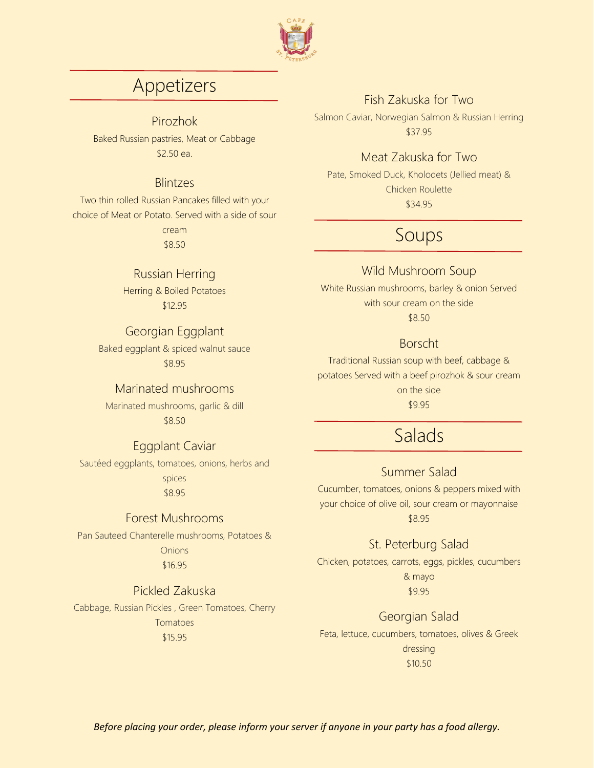

# Appetizers

Pirozhok

Baked Russian pastries, Meat or Cabbage \$2.50 ea.

#### Blintzes

Two thin rolled Russian Pancakes filled with your choice of Meat or Potato. Served with a side of sour

cream \$8.50

#### Russian Herring

Herring & Boiled Potatoes \$12.95

#### Georgian Eggplant

Baked eggplant & spiced walnut sauce \$8.95

#### Marinated mushrooms

Marinated mushrooms, garlic & dill \$8.50

#### Eggplant Caviar

Sautéed eggplants, tomatoes, onions, herbs and spices \$8.95

#### Forest Mushrooms

Pan Sauteed Chanterelle mushrooms, Potatoes & **Onions** \$16.95

#### Pickled Zakuska

Cabbage, Russian Pickles , Green Tomatoes, Cherry Tomatoes \$15.95

### Fish Zakuska for Two

Salmon Caviar, Norwegian Salmon & Russian Herring \$37.95

#### Meat Zakuska for Two

Pate, Smoked Duck, Kholodets (Jellied meat) & Chicken Roulette \$34.95

# Soups

#### Wild Mushroom Soup

White Russian mushrooms, barley & onion Served with sour cream on the side

\$8.50

#### Borscht

Traditional Russian soup with beef, cabbage & potatoes Served with a beef pirozhok & sour cream on the side \$9.95

# Salads

#### Summer Salad

Cucumber, tomatoes, onions & peppers mixed with your choice of olive oil, sour cream or mayonnaise \$8.95

#### St. Peterburg Salad

Chicken, potatoes, carrots, eggs, pickles, cucumbers & mayo \$9.95

### Georgian Salad

Feta, lettuce, cucumbers, tomatoes, olives & Greek dressing \$10.50

*Before placing your order, please inform your server if anyone in your party has a food allergy.*